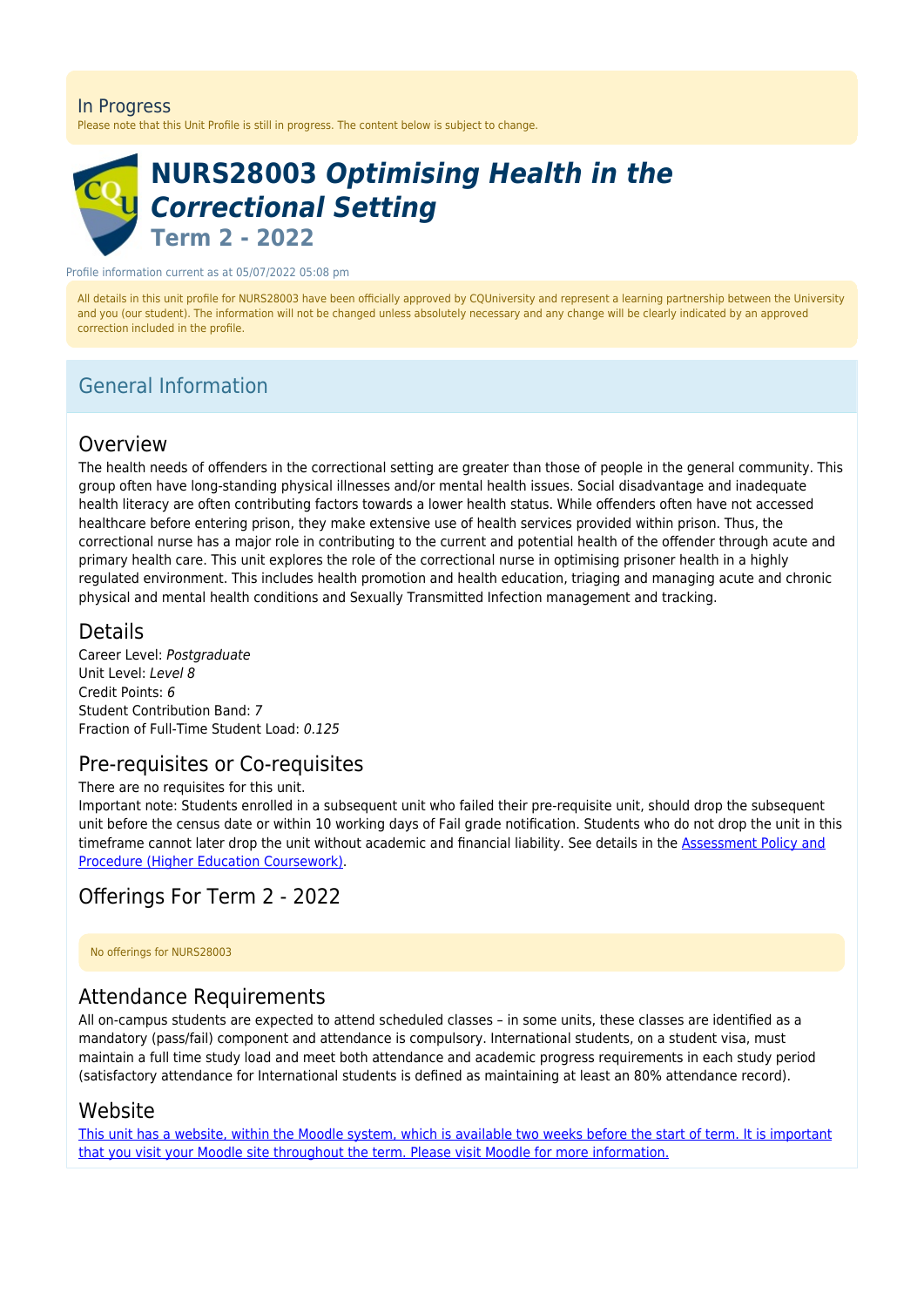#### In Progress

Please note that this Unit Profile is still in progress. The content below is subject to change.

# **NURS28003** *Optimising Health in the Correctional Setting* **Term 2 - 2022**

Profile information current as at 05/07/2022 05:08 pm

All details in this unit profile for NURS28003 have been officially approved by CQUniversity and represent a learning partnership between the University and you (our student). The information will not be changed unless absolutely necessary and any change will be clearly indicated by an approved correction included in the profile.

# General Information

### Overview

The health needs of offenders in the correctional setting are greater than those of people in the general community. This group often have long-standing physical illnesses and/or mental health issues. Social disadvantage and inadequate health literacy are often contributing factors towards a lower health status. While offenders often have not accessed healthcare before entering prison, they make extensive use of health services provided within prison. Thus, the correctional nurse has a major role in contributing to the current and potential health of the offender through acute and primary health care. This unit explores the role of the correctional nurse in optimising prisoner health in a highly regulated environment. This includes health promotion and health education, triaging and managing acute and chronic physical and mental health conditions and Sexually Transmitted Infection management and tracking.

### Details

Career Level: Postgraduate Unit Level: Level 8 Credit Points: 6 Student Contribution Band: 7 Fraction of Full-Time Student Load: 0.125

## Pre-requisites or Co-requisites

There are no requisites for this unit.

Important note: Students enrolled in a subsequent unit who failed their pre-requisite unit, should drop the subsequent unit before the census date or within 10 working days of Fail grade notification. Students who do not drop the unit in this timeframe cannot later drop the unit without academic and financial liability. See details in the [Assessment Policy and](https://www.cqu.edu.au/policy) [Procedure \(Higher Education Coursework\)](https://www.cqu.edu.au/policy).

# Offerings For Term 2 - 2022

No offerings for NURS28003

## Attendance Requirements

All on-campus students are expected to attend scheduled classes – in some units, these classes are identified as a mandatory (pass/fail) component and attendance is compulsory. International students, on a student visa, must maintain a full time study load and meet both attendance and academic progress requirements in each study period (satisfactory attendance for International students is defined as maintaining at least an 80% attendance record).

### Website

[This unit has a website, within the Moodle system, which is available two weeks before the start of term. It is important](https://moodle.cqu.edu.au) [that you visit your Moodle site throughout the term. Please visit Moodle for more information.](https://moodle.cqu.edu.au)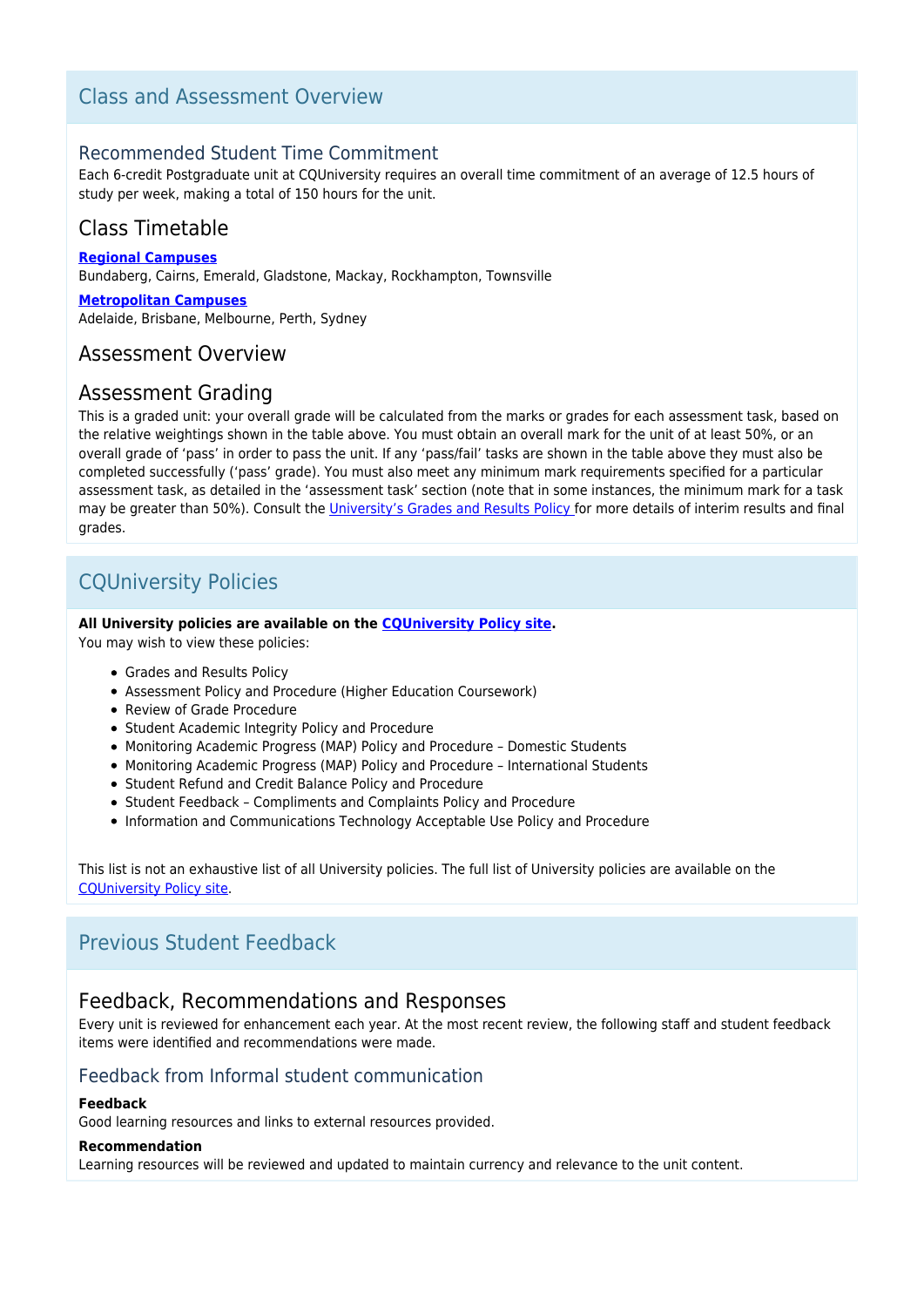# Class and Assessment Overview

### Recommended Student Time Commitment

Each 6-credit Postgraduate unit at CQUniversity requires an overall time commitment of an average of 12.5 hours of study per week, making a total of 150 hours for the unit.

# Class Timetable

**[Regional Campuses](https://handbook.cqu.edu.au/facet/timetables)**

Bundaberg, Cairns, Emerald, Gladstone, Mackay, Rockhampton, Townsville

#### **[Metropolitan Campuses](https://handbook.cqu.edu.au/facet/timetables)**

Adelaide, Brisbane, Melbourne, Perth, Sydney

### Assessment Overview

### Assessment Grading

This is a graded unit: your overall grade will be calculated from the marks or grades for each assessment task, based on the relative weightings shown in the table above. You must obtain an overall mark for the unit of at least 50%, or an overall grade of 'pass' in order to pass the unit. If any 'pass/fail' tasks are shown in the table above they must also be completed successfully ('pass' grade). You must also meet any minimum mark requirements specified for a particular assessment task, as detailed in the 'assessment task' section (note that in some instances, the minimum mark for a task may be greater than 50%). Consult the [University's Grades and Results Policy](https://www.cqu.edu.au/policy) for more details of interim results and final grades.

# CQUniversity Policies

#### **All University policies are available on the [CQUniversity Policy site.](https://policy.cqu.edu.au/)**

You may wish to view these policies:

- Grades and Results Policy
- Assessment Policy and Procedure (Higher Education Coursework)
- Review of Grade Procedure
- Student Academic Integrity Policy and Procedure
- Monitoring Academic Progress (MAP) Policy and Procedure Domestic Students
- Monitoring Academic Progress (MAP) Policy and Procedure International Students
- Student Refund and Credit Balance Policy and Procedure
- Student Feedback Compliments and Complaints Policy and Procedure
- Information and Communications Technology Acceptable Use Policy and Procedure

This list is not an exhaustive list of all University policies. The full list of University policies are available on the [CQUniversity Policy site.](https://policy.cqu.edu.au/)

# Previous Student Feedback

### Feedback, Recommendations and Responses

Every unit is reviewed for enhancement each year. At the most recent review, the following staff and student feedback items were identified and recommendations were made.

### Feedback from Informal student communication

#### **Feedback**

Good learning resources and links to external resources provided.

#### **Recommendation**

Learning resources will be reviewed and updated to maintain currency and relevance to the unit content.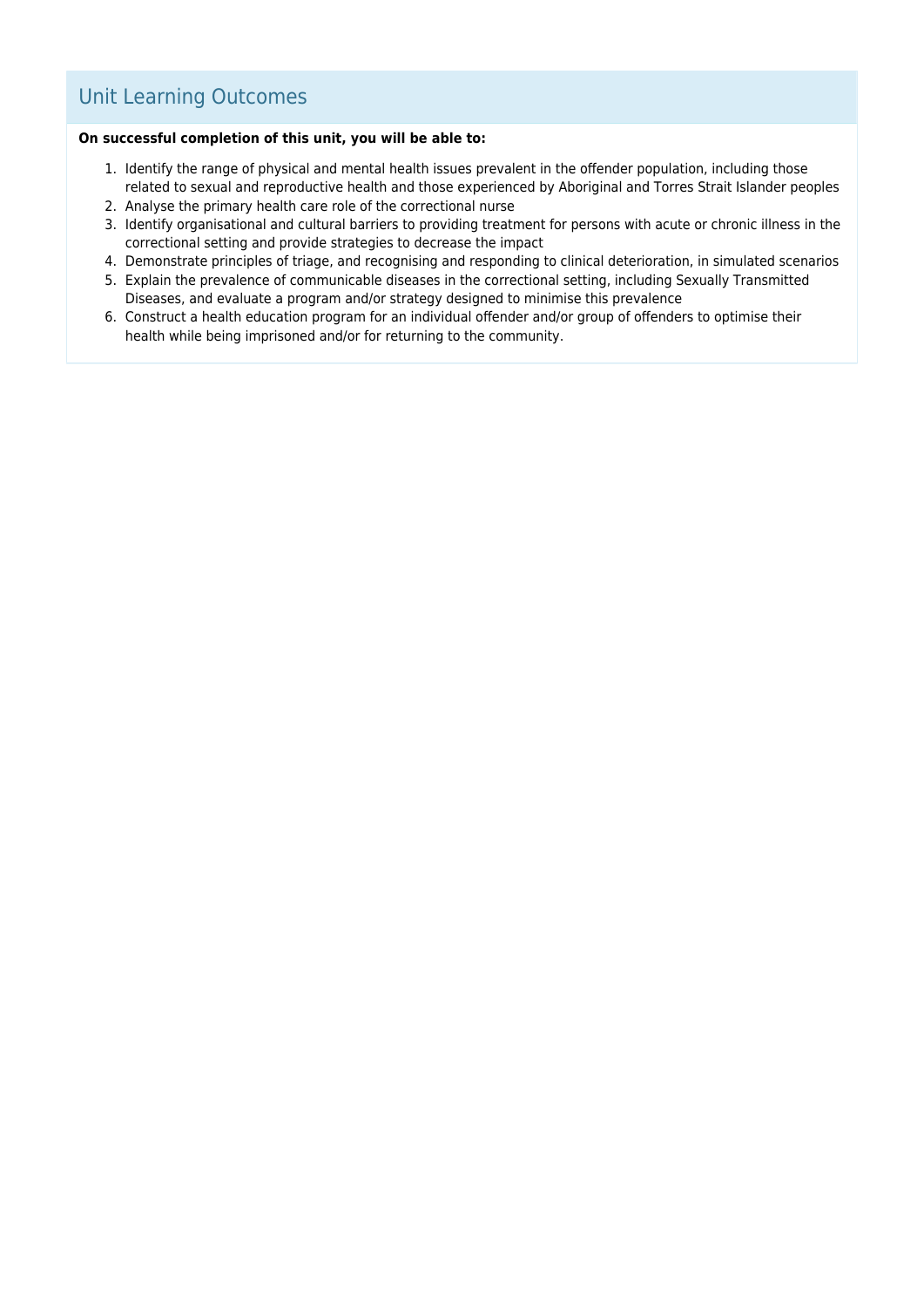# Unit Learning Outcomes

#### **On successful completion of this unit, you will be able to:**

- 1. Identify the range of physical and mental health issues prevalent in the offender population, including those related to sexual and reproductive health and those experienced by Aboriginal and Torres Strait Islander peoples
- 2. Analyse the primary health care role of the correctional nurse
- 3. Identify organisational and cultural barriers to providing treatment for persons with acute or chronic illness in the correctional setting and provide strategies to decrease the impact
- 4. Demonstrate principles of triage, and recognising and responding to clinical deterioration, in simulated scenarios
- 5. Explain the prevalence of communicable diseases in the correctional setting, including Sexually Transmitted Diseases, and evaluate a program and/or strategy designed to minimise this prevalence
- 6. Construct a health education program for an individual offender and/or group of offenders to optimise their health while being imprisoned and/or for returning to the community.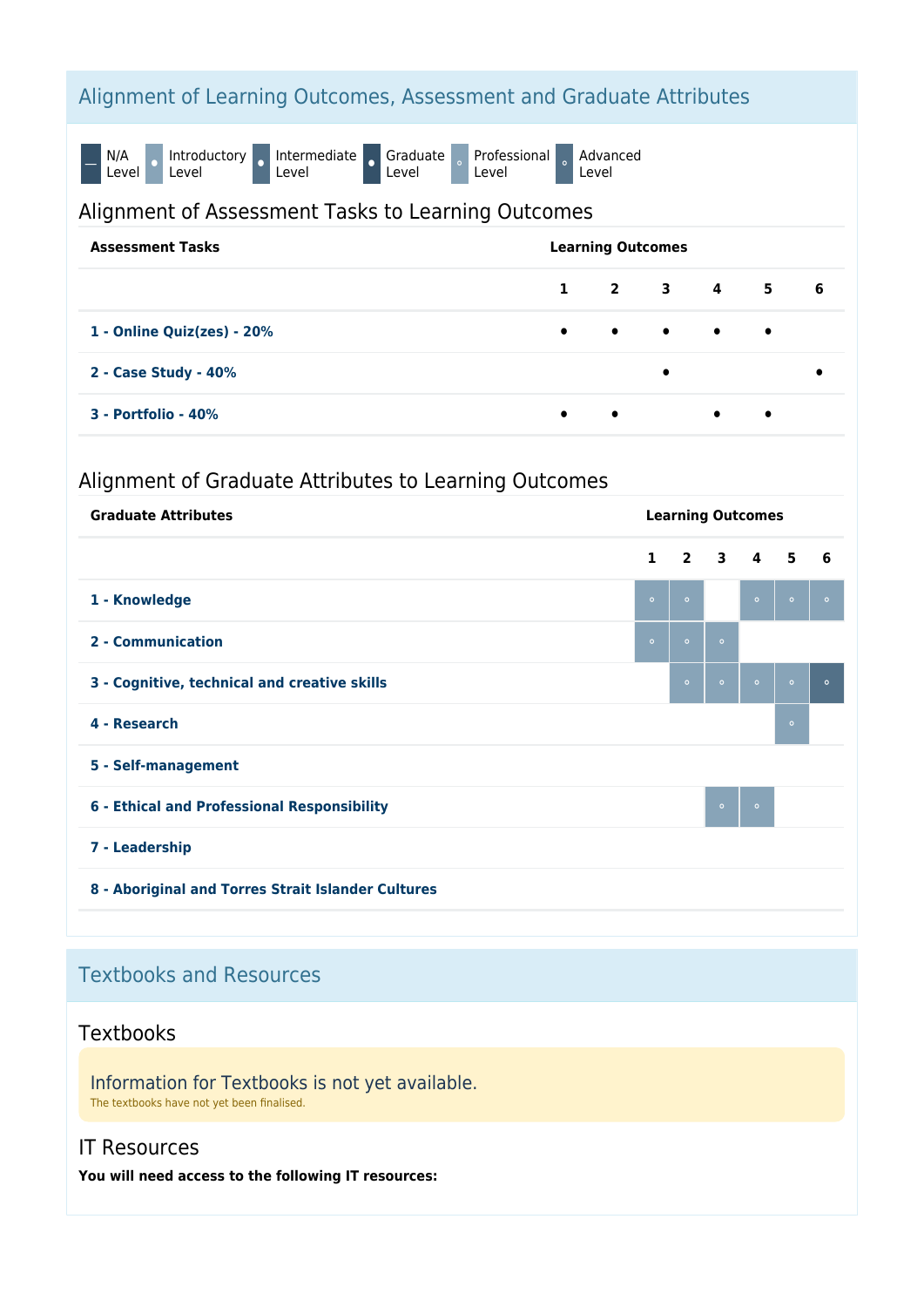# Alignment of Learning Outcomes, Assessment and Graduate Attributes

N/A Level **P** Introductory o Intermediate o Graduate Level Professional Professional a Advanced Level

### Alignment of Assessment Tasks to Learning Outcomes

| <b>Assessment Tasks</b>    | <b>Learning Outcomes</b> |  |           |                                                   |               |  |  |  |  |
|----------------------------|--------------------------|--|-----------|---------------------------------------------------|---------------|--|--|--|--|
|                            |                          |  |           |                                                   | $1$ 2 3 4 5 6 |  |  |  |  |
| 1 - Online Quiz(zes) - 20% |                          |  |           | $\bullet$ $\bullet$ $\bullet$ $\bullet$ $\bullet$ |               |  |  |  |  |
| 2 - Case Study - 40%       |                          |  | $\bullet$ |                                                   |               |  |  |  |  |
| 3 - Portfolio - 40%        | $\bullet$ $\bullet$      |  |           | $\bullet$                                         | $\bullet$     |  |  |  |  |

# Alignment of Graduate Attributes to Learning Outcomes

| <b>Graduate Attributes</b>                         | <b>Learning Outcomes</b> |         |                     |         |         |         |  |  |
|----------------------------------------------------|--------------------------|---------|---------------------|---------|---------|---------|--|--|
|                                                    | $\mathbf{1}$             |         | $2 \quad 3 \quad 4$ |         | 5       | 6       |  |  |
| 1 - Knowledge                                      | $\circ$                  | $\circ$ |                     | $\circ$ | $\circ$ | $\circ$ |  |  |
| 2 - Communication                                  | $\circ$                  | $\circ$ | $\circ$             |         |         |         |  |  |
| 3 - Cognitive, technical and creative skills       |                          | $\circ$ | $\circ$             | $\circ$ | $\circ$ | $\circ$ |  |  |
| 4 - Research                                       |                          |         |                     |         | $\circ$ |         |  |  |
| 5 - Self-management                                |                          |         |                     |         |         |         |  |  |
| 6 - Ethical and Professional Responsibility        |                          |         | $\circ$             | $\circ$ |         |         |  |  |
| 7 - Leadership                                     |                          |         |                     |         |         |         |  |  |
| 8 - Aboriginal and Torres Strait Islander Cultures |                          |         |                     |         |         |         |  |  |

# Textbooks and Resources

## **Textbooks**

Information for Textbooks is not yet available. The textbooks have not yet been finalised.

## IT Resources

**You will need access to the following IT resources:**